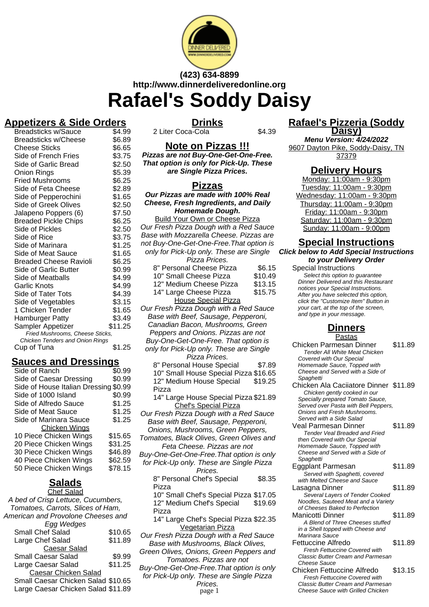

## **(423) 634-8899 http://www.dinnerdeliveredonline.org Rafael's Soddy Daisy**

#### **Appetizers & Side Orders**  $B^2$

**Drinks** 2 Liter Coca-Cola \$4.39

| DICQUOIIUNO W/JQUUC             | ⊍⊶.ວວ   |
|---------------------------------|---------|
| Breadsticks w/Cheese            | \$6.89  |
| Cheese Sticks                   | \$6.65  |
| Side of French Fries            | \$3.75  |
| Side of Garlic Bread            | \$2.50  |
| Onion Rings                     | \$5.39  |
| <b>Fried Mushrooms</b>          | \$6.25  |
| Side of Feta Cheese             | \$2.89  |
| Side of Pepperochini            | \$1.65  |
| <b>Side of Greek Olives</b>     | \$2.50  |
| Jalapeno Poppers (6)            | \$7.50  |
| <b>Breaded Pickle Chips</b>     | \$6.25  |
| Side of Pickles                 | \$2.50  |
| Side of Rice                    | \$3.75  |
| Side of Marinara                | \$1.25  |
| Side of Meat Sauce              | \$1.65  |
| <b>Breaded Cheese Ravioli</b>   | \$6.25  |
| Side of Garlic Butter           | \$0.99  |
| Side of Meatballs               | \$4.99  |
| <b>Garlic Knots</b>             | \$4.99  |
| Side of Tater Tots              | \$4.39  |
| Side of Vegetables              | \$3.15  |
| 1 Chicken Tender                | \$1.65  |
| Hamburger Patty                 | \$3.49  |
| Sampler Appetizer               | \$11.25 |
| Fried Mushrooms, Cheese Sticks, |         |
| Chicken Tenders and Onion Rings |         |
| Cup of Tuna                     | \$1.25  |
|                                 |         |

### **Sauces and Dressings**

| Side of Ranch                  | \$0.99  |
|--------------------------------|---------|
| Side of Caesar Dressing        | \$0.99  |
| Side of House Italian Dressing | \$0.99  |
| Side of 1000 Island            | \$0.99  |
| Side of Alfredo Sauce          | \$1.25  |
| Side of Meat Sauce             | \$1.25  |
| Side of Marinara Sauce         | \$1.25  |
| Chicken Wings                  |         |
| 10 Piece Chicken Wings         | \$15.65 |
| 20 Piece Chicken Wings         | \$31.25 |
| 30 Piece Chicken Wings         | \$46.89 |
| 40 Piece Chicken Wings         | \$62.59 |
| 50 Piece Chicken Wings         | \$78.15 |
|                                |         |

#### **Salads** Chef Salad

| Gilei Salau                        |         |
|------------------------------------|---------|
| A bed of Crisp Lettuce, Cucumbers, |         |
| Tomatoes, Carrots, Slices of Ham,  |         |
| American and Provolone Cheeses and |         |
| Egg Wedges                         |         |
| <b>Small Chef Salad</b>            | \$10.65 |
| Large Chef Salad                   | \$11.89 |
| <b>Caesar Salad</b>                |         |
| <b>Small Caesar Salad</b>          | \$9.99  |
| Large Caesar Salad                 | \$11.25 |
| <b>Caesar Chicken Salad</b>        |         |
| Small Caesar Chicken Salad \$10.65 |         |
| Large Caesar Chicken Salad \$11.89 |         |
|                                    |         |

**Pizzas are not Buy-One-Get-One-Free. That option is only for Pick-Up. These**

### **Pizzas**

**Our Pizzas are made with 100% Real Cheese, Fresh Ingredients, and Daily Homemade Dough.**

Build Your Own or Cheese Pizza Our Fresh Pizza Dough with a Red Sauce Base with Mozzarella Cheese. Pizzas are not Buy-One-Get-One-Free.That option is only for Pick-Up only. These are Single Pizza Prices. 8" Personal Cheese Pizza \$6.15 10" Small Cheese Pizza \$10.49 12" Medium Cheese Pizza \$13.15 14" Large Cheese Pizza \$15.75 House Special Pizza Our Fresh Pizza Dough with a Red Sauce Base with Beef, Sausage, Pepperoni, Canadian Bacon, Mushrooms, Green Peppers and Onions. Pizzas are not Buy-One-Get-One-Free. That option is only for Pick-Up only. These are Single Pizza Prices. 8" Personal House Special \$7.89 10" Small House Special Pizza \$16.65 12" Medium House Special Pizza \$19.25 14" Large House Special Pizza \$21.89 Chef's Special Pizza Our Fresh Pizza Dough with a Red Sauce Base with Beef, Sausage, Pepperoni, Onions, Mushrooms, Green Peppers, Tomatoes, Black Olives, Green Olives and Feta Cheese. Pizzas are not Buy-One-Get-One-Free.That option is only for Pick-Up only. These are Single Pizza Prices. 8" Personal Chef's Special Pizza \$8.35 10" Small Chef's Special Pizza \$17.05 12" Medium Chef's Special Pizza \$19.69 14" Large Chef's Special Pizza \$22.35 Vegetarian Pizza Our Fresh Pizza Dough with a Red Sauce Base with Mushrooms, Black Olives, Green Olives, Onions, Green Peppers and

Tomatoes. Pizzas are not Buy-One-Get-One-Free.That option is only for Pick-Up only. These are Single Pizza Prices.<br>page 1

**Rafael's Pizzeria (Soddy Daisy) Menu Version: 4/24/2022**

9607 Dayton Pike, Soddy-Daisy, TN 37379

### **Delivery Hours**

Monday: 11:00am - 9:30pm Tuesday: 11:00am - 9:30pm Wednesday: 11:00am - 9:30pm Thursday: 11:00am - 9:30pm Friday: 11:00am - 9:30pm Saturday: 11:00am - 9:30pm Sunday: 11:00am - 9:00pm

# **Special Instructions**

**Click below to Add Special Instructions to your Delivery Order**

Special Instructions

Select this option to quarantee Dinner Delivered and this Restaurant notices your Special Instructions. After you have selected this option, click the "Customize Item" Button in your cart, at the top of the screen, and type in your message.

## **Dinners**

Pastas Chicken Parmesan Dinner \$11.89 Tender All White Meat Chicken Covered with Our Special Homemade Sauce, Topped with Cheese and Served with a Side of Spaghetti Chicken Ala Caciiatore Dinner \$11.89 Chicken gently cooked in our Specially prepared Tomato Sauce, Served over Pasta with Bell Peppers, Onions and Fresh Mushrooms. Served with a Side Salad Veal Parmesan Dinner \$11.89 Tender Veal Breaded and Fried then Covered with Our Special Homemade Sauce, Topped with Cheese and Served with a Side of **Spaghetti** Eggplant Parmesan \$11.89 ..<br>Served with Spaghetti, covered with Melted Cheese and Sauce Lasagna Dinner **\$11.89** Several Layers of Tender Cooked Noodles, Sauteed Meat and a Variety of Cheeses Baked to Perfection Manicotti Dinner \$11.89 A Blend of Three Cheeses stuffed in a Shell topped with Cheese and Marinara Sauce Fettuccine Alfredo \$11.89 Fresh Fettuccine Covered with Classic Butter Cream and Parmesan Cheese Sauce Chicken Fettuccine Alfredo \$13.15

Fresh Fettuccine Covered with Classic Butter Cream and Parmesan Cheese Sauce with Grilled Chicken

# **Note on Pizzas !!!**

**are Single Pizza Prices.**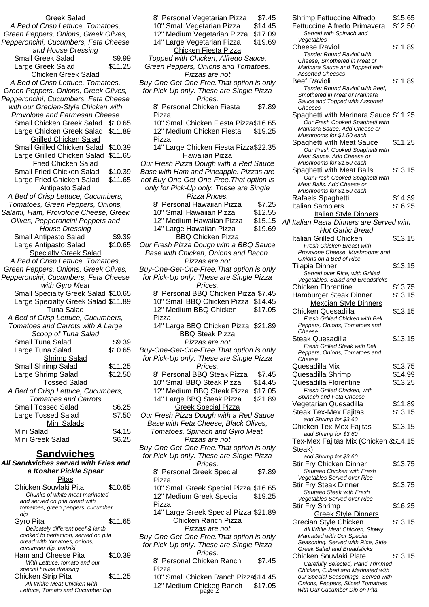| <b>Greek Salad</b>                                      |         |
|---------------------------------------------------------|---------|
| A Bed of Crisp Lettuce, Tomatoes,                       |         |
| Green Peppers, Onions, Greek Olives,                    |         |
| Pepperoncini, Cucumbers, Feta Cheese                    |         |
|                                                         |         |
| and House Dressing                                      |         |
| <b>Small Greek Salad</b>                                | \$9.99  |
| Large Greek Salad                                       | \$11.25 |
| <b>Chicken Greek Salad</b>                              |         |
| A Bed of Crisp Lettuce, Tomatoes,                       |         |
| Green Peppers, Onions, Greek Olives,                    |         |
| Pepperoncini, Cucumbers, Feta Cheese                    |         |
| with our Grecian-Style Chicken with                     |         |
| Provolone and Parmesan Cheese                           |         |
| Small Chicken Greek Salad                               | \$10.65 |
| Large Chicken Greek Salad                               | \$11.89 |
| <b>Grilled Chicken Salad</b>                            |         |
|                                                         |         |
| Small Grilled Chicken Salad                             | \$10.39 |
| Large Grilled Chicken Salad                             | \$11.65 |
| Fried Chicken Salad                                     |         |
| Small Fried Chicken Salad                               | \$10.39 |
| Large Fried Chicken Salad                               | \$11.65 |
| <b>Antipasto Salad</b>                                  |         |
| A Bed of Crisp Lettuce, Cucumbers,                      |         |
| Tomatoes, Green Peppers, Onions,                        |         |
| Salami, Ham, Provolone Cheese, Greek                    |         |
| Olives, Pepperoncini Peppers and                        |         |
|                                                         |         |
| <b>House Dressing</b>                                   |         |
| Small Antipasto Salad                                   | \$9.39  |
| Large Antipasto Salad                                   | \$10.65 |
| <b>Specialty Greek Salad</b>                            |         |
| A Bed of Crisp Lettuce, Tomatoes,                       |         |
|                                                         |         |
| Green Peppers, Onions, Greek Olives,                    |         |
| Pepperoncini, Cucumbers, Feta Cheese                    |         |
| with Gyro Meat                                          |         |
|                                                         |         |
| Small Specialty Greek Salad \$10.65                     |         |
| Large Specialty Greek Salad \$11.89                     |         |
| Tuna Salad                                              |         |
| A Bed of Crisp Lettuce, Cucumbers,                      |         |
| Tomatoes and Carrots with A Large                       |         |
| Scoop of Tuna Salad                                     |         |
| Small Tuna Salad                                        | \$9.39  |
| Large Tuna Salad                                        | \$10.65 |
| <b>Shrimp Salad</b>                                     |         |
| Small Shrimp Salad                                      | \$11.25 |
| Large Shrimp Salad                                      | \$12.50 |
|                                                         |         |
| <b>Tossed Salad</b>                                     |         |
| A Bed of Crisp Lettuce, Cucumbers,                      |         |
| <b>Tomatoes and Carrots</b>                             |         |
| <b>Small Tossed Salad</b>                               | \$6.25  |
| <b>Large Tossed Salad</b>                               | \$7.50  |
| <b>Mini Salads</b>                                      |         |
| Mini Salad                                              | \$4.15  |
| Mini Greek Salad                                        | \$6.25  |
|                                                         |         |
| <b>Sandwiches</b>                                       |         |
| All Sandwiches served with Fries and                    |         |
| a Kosher Pickle Spear                                   |         |
| <u>Pitas</u>                                            |         |
| Chicken Souvlaki Pita<br>Chunks of white meat marinated | \$10.65 |

| and served on pita bread with<br>tomatoes, green peppers, cucumber |         |  |
|--------------------------------------------------------------------|---------|--|
| dip                                                                |         |  |
| Gyro Pita                                                          | \$11.65 |  |
| Delicately different beef & lamb                                   |         |  |
| cooked to perfection, served on pita                               |         |  |
| bread with tomatoes, onions,                                       |         |  |
| cucumber dip, tzatziki                                             |         |  |
| Ham and Cheese Pita                                                | \$10.39 |  |
| With Lettuce, tomato and our                                       |         |  |
| special house dressing                                             |         |  |
| Chicken Strip Pita                                                 | \$11.25 |  |
| All White Meat Chicken with                                        |         |  |
| Lettuce, Tomato and Cucumber Dip                                   |         |  |

| 8" Personal Vegetarian Pizza                                                          | \$7.45             |
|---------------------------------------------------------------------------------------|--------------------|
| 10" Small Vegetarian Pizza                                                            | \$14.45            |
| 12" Medium Vegetarian Pizza                                                           | \$17.09            |
| 14" Large Vegetarian Pizza<br>Chicken Fiesta Pizza                                    | \$19.69            |
| Topped with Chicken, Alfredo Sauce,                                                   |                    |
| Green Peppers, Onions and Tomatoes.                                                   |                    |
| Pizzas are not                                                                        |                    |
| Buy-One-Get-One-Free. That option is only<br>for Pick-Up only. These are Single Pizza |                    |
| Prices.                                                                               |                    |
| 8" Personal Chicken Fiesta                                                            | \$7.89             |
| Pizza                                                                                 |                    |
| 10" Small Chicken Fiesta Pizza \$16.65                                                |                    |
| 12" Medium Chicken Fiesta<br>Pizza                                                    | \$19.25            |
| 14" Large Chicken Fiesta Pizza\$22.35                                                 |                    |
| <b>Hawaiian Pizza</b>                                                                 |                    |
| Our Fresh Pizza Dough with a Red Sauce                                                |                    |
| Base with Ham and Pineapple. Pizzas are<br>not Buy-One-Get-One-Free. That option is   |                    |
| only for Pick-Up only. These are Single                                               |                    |
| Pizza Prices.                                                                         |                    |
| 8" Personal Hawaiian Pizza                                                            | \$7.25             |
| 10" Small Hawaiian Pizza                                                              | \$12.55            |
| 12" Medium Hawaiian Pizza                                                             | \$15.15<br>\$19.69 |
| 14" Large Hawaiian Pizza<br><b>BBQ Chicken Pizza</b>                                  |                    |
| Our Fresh Pizza Dough with a BBQ Sauce                                                |                    |
| Base with Chicken, Onions and Bacon.                                                  |                    |
| Pizzas are not                                                                        |                    |
| Buy-One-Get-One-Free. That option is only                                             |                    |
| for Pick-Up only. These are Single Pizza<br>Prices.                                   |                    |
| 8" Personal BBQ Chicken Pizza \$7.45                                                  |                    |
| 10" Small BBQ Chicken Pizza \$14.45                                                   |                    |
| 12" Medium BBQ Chicken                                                                | \$17.05            |
| Pizza                                                                                 |                    |
| 14" Large BBQ Chicken Pizza \$21.89<br>BBQ Steak Pizza                                |                    |
| Pizzas are not                                                                        |                    |
| Buy-One-Get-One-Free. That option is only                                             |                    |
| for Pick-Up only. These are Single Pizza                                              |                    |
| Prices.                                                                               |                    |
| 8" Personal BBQ Steak Pizza<br>10" Small BBQ Steak Pizza                              | \$7.45<br>\$14.45  |
| 12" Medium BBQ Steak Pizza                                                            | \$17.05            |
| 14" Large BBQ Steak Pizza                                                             | \$21.89            |
| <b>Greek Special Pizza</b>                                                            |                    |
| Our Fresh Pizza Dough with a Red Sauce                                                |                    |
| Base with Feta Cheese, Black Olives,<br>Tomatoes, Spinach and Gyro Meat.              |                    |
| Pizzas are not                                                                        |                    |
| Buy-One-Get-One-Free. That option is only                                             |                    |
| for Pick-Up only. These are Single Pizza                                              |                    |
| Prices.                                                                               |                    |
| 8" Personal Greek Special<br>Pizza                                                    | \$7.89             |
| 10" Small Greek Special Pizza \$16.65                                                 |                    |
| 12" Medium Greek Special                                                              | \$19.25            |
| Pizza                                                                                 |                    |
| 14" Large Greek Special Pizza \$21.89                                                 |                    |
| <b>Chicken Ranch Pizza</b><br>Pizzas are not                                          |                    |
| Buy-One-Get-One-Free. That option is only                                             |                    |
| for Pick-Up only. These are Single Pizza                                              |                    |
| Prices.                                                                               |                    |
| 8" Personal Chicken Ranch                                                             | \$7.45             |
| Pizza<br>10" Small Chicken Ranch Pizza\$14.45                                         |                    |
| 12" Medium Chicken Ranch                                                              | \$17.05            |
| page 2                                                                                |                    |

Marinara Sauce. Add Cheese or Mushrooms for \$1.50 each Spaghetti with Meat Sauce \$11.25 Our Fresh Cooked Spaghetti with Meat Sauce. Add Cheese or Mushrooms for \$1.50 each Spaghetti with Meat Balls \$13.15 Our Fresh Cooked Spaghetti with Meat Balls. Add Cheese or Mushrooms for \$1.50 each Rafaels Spaghetti **\$14.39** Italian Samplers \$16.25 **Italian Style Dinners** All Italian Pasta Dinners are Served with Hot Garlic Bread Italian Grilled Chicken \$13.15 Fresh Chicken Breast with Provolone Cheese, Mushrooms and Onions on a Bed of Rice. Tilapia Dinner \$13.15 Served over Rice, with Grilled Vegetables, Salad and Breadsticks Chicken Florentine \$13.75 Hamburger Steak Dinner \$13.15 Mexcian Style Dinners Chicken Quesadilla  $$13.15$ Fresh Grilled Chicken with Bell Peppers, Onions, Tomatoes and **Cheese** Steak Quesadilla  $$13.15$ Fresh Grilled Steak with Bell Peppers, Onions, Tomatoes and **Cheese** Quesadilla Mix \$13.75 Quesadilla Shrimp \$14.99 Quesadilla Florentine \$13.25 Fresh Grilled Chicken, with Spinach and Feta Cheese Vegetarian Quesadilla \$11.89 Steak Tex-Mex Fajitas \$13.15 add Shrimp for \$3.60 Chicken Tex-Mex Fajitas \$13.15 add Shrimp for \$3.60 Tex-Mex Fajitas Mix (Chicken & \$14.15 Steak) add Shrimp for \$3.60 Stir Fry Chicken Dinner \$13.75 Sauteed Chicken with Fresh Vegetables Served over Rice Stir Fry Steak Dinner \$13.75 Sauteed Steak with Fresh Vegetables Served over Rice Stir Fry Shrimp \$16.25 Greek Style Dinners Grecian Style Chicken \$13.15 All White Meat Chicken, Slowly Marinated with Our Special Seasoning. Served with Rice, Side Greek Salad and Breadsticks Chicken Souvlaki Plate \$13.15 Carefully Selected, Hand Trimmed Chicken, Cubed and Marinated with our Special Seasonings. Served with Onions, Peppers, Sliced Tomatoes with Our Cucumber Dip on Pita

Shrimp Fettuccine Alfredo \$15.65 Fettuccine Alfredo Primavera \$12.50

Cheese Ravioli **\$11.89** 

Beef Ravioli **\$11.89** Tender Round Ravioli with Beef, Smothered in Meat or Marinara Sauce and Topped with Assorted

Spaghetti with Marinara Sauce \$11.25 Our Fresh Cooked Spaghetti with

Served with Spinach and

Tender Round Ravioli with Cheese, Smothered in Meat or Marinara Sauce and Topped with

Vegetables

Cheeses

Assorted Cheeses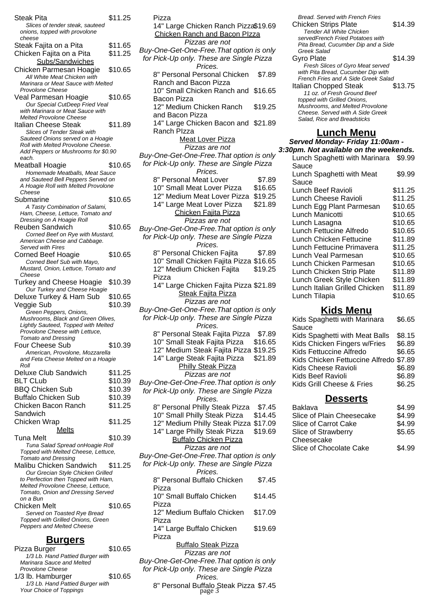| Steak Pita                                                                |         | \$11.25 |
|---------------------------------------------------------------------------|---------|---------|
| Slices of tender steak, sauteed                                           |         |         |
| onions, topped with provolone<br>cheese                                   |         |         |
| Steak Fajita on a Pita                                                    |         | \$11.65 |
| Chicken Fajita on a Pita                                                  |         | \$11.25 |
| Subs/Sandwiches                                                           |         |         |
| Chicken Parmesan Hoagie                                                   |         | \$10.65 |
| All White Meat Chicken with                                               |         |         |
| Marinara or Meat Sauce with Melted                                        |         |         |
| Provolone Cheese                                                          |         |         |
| Veal Parmesan Hoagie<br>Our Special CutDeep Fried Veal                    |         | \$10.65 |
| with Marinara or Meat Sauce with                                          |         |         |
| Melted Provolone Cheese                                                   |         |         |
| Italian Cheese Steak                                                      |         | \$11.89 |
| <b>Slices of Tender Steak with</b>                                        |         |         |
| Sauteed Onions served on a Hoagie<br>Roll with Melted Provolone Cheese.   |         |         |
| Add Peppers or Mushrooms for \$0.90                                       |         |         |
| each.                                                                     |         |         |
| Meatball Hoagie                                                           |         | \$10.65 |
| Homemade Meatballs, Meat Sauce                                            |         |         |
| and Sauteed Bell Peppers Served on<br>A Hoagie Roll with Melted Provolone |         |         |
| Cheese                                                                    |         |         |
| Submarine                                                                 |         | \$10.65 |
| A Tasty Combination of Salami,                                            |         |         |
| Ham, Cheese, Lettuce, Tomato and                                          |         |         |
| Dressing on A Hoagie Roll                                                 |         |         |
| Reuben Sandwich<br>Corned Beef on Rye with Mustard,                       |         | \$10.65 |
| American Cheese and Cabbage.                                              |         |         |
| Served with Fires                                                         |         |         |
| Corned Beef Hoagie                                                        |         | \$10.65 |
| Corned Beef Sub with Mayo,                                                |         |         |
| Mustard, Onion, Lettuce, Tomato and                                       |         |         |
| Cheese<br><b>Turkey and Cheese Hoagie</b>                                 |         | \$10.39 |
| Our Turkey and Cheese Hoagie                                              |         |         |
| Deluxe Turkey & Ham Sub                                                   |         | \$10.65 |
| Veggie Sub                                                                |         | \$10.39 |
| Green Peppers, Onions,                                                    |         |         |
| Mushrooms, Black and Green Olives,                                        |         |         |
| Lightly Sauteed, Topped with Melted                                       |         |         |
| Provolone Cheese with Lettuce,<br><b>Tomato and Dressing</b>              |         |         |
| Four Cheese Sub                                                           |         | \$10.39 |
| American, Provolone, Mozzarella                                           |         |         |
| and Feta Cheese Melted on a Hoagie                                        |         |         |
| Roll                                                                      |         |         |
| Deluxe Club Sandwich                                                      |         | \$11.25 |
| <b>BLT CLub</b>                                                           |         | \$10.39 |
| <b>BBQ Chicken Sub</b>                                                    |         | \$10.39 |
| <b>Buffalo Chicken Sub</b>                                                |         | \$10.39 |
| Chicken Bacon Ranch                                                       |         | \$11.25 |
| Sandwich                                                                  |         |         |
| Chicken Wrap                                                              |         | \$11.25 |
| Melts                                                                     |         |         |
| Tuna Melt                                                                 |         | \$10.39 |
| Tuna Salad Spread onHoagie Roll<br>Topped with Melted Cheese, Lettuce,    |         |         |
| <b>Tomato and Dressing</b>                                                |         |         |
| Malibu Chicken Sandwich                                                   |         | \$11.25 |
| Our Grecian Style Chicken Grilled                                         |         |         |
| to Perfection then Topped with Ham,<br>Melted Provolone Cheese, Lettuce,  |         |         |
| Tomato, Onion and Dressing Served                                         |         |         |
| on a Bun                                                                  |         |         |
| Chicken Melt                                                              |         |         |
| Served on Toasted Rye Bread                                               | \$10.65 |         |
|                                                                           |         |         |
| Topped with Grilled Onions, Green                                         |         |         |
| <b>Peppers and Melted Cheese</b>                                          |         |         |
| <u>Burgers</u>                                                            |         |         |

| Pizza Burger                     | \$10.65 |  |
|----------------------------------|---------|--|
| 1/3 Lb. Hand Pattied Burger with |         |  |
| Marinara Sauce and Melted        |         |  |
| Provolone Cheese                 |         |  |
| 1/3 lb. Hamburger                | \$10.65 |  |
| 1/3 Lb. Hand Pattied Burger with |         |  |
| Your Choice of Toppings          |         |  |
|                                  |         |  |

| 14" Large Chicken Ranch Pizza\$19.69                                                  |
|---------------------------------------------------------------------------------------|
| <b>Chicken Ranch and Bacon Plzza</b>                                                  |
| Pizzas are not                                                                        |
| Buy-One-Get-One-Free. That option is only<br>for Pick-Up only. These are Single Pizza |
| Prices.<br>8" Personal Personal Chicken<br>\$7.89                                     |
| Ranch and Bacon Pizza                                                                 |
| 10" Small Chicken Ranch and \$16.65                                                   |
| <b>Bacon Pizza</b>                                                                    |
| 12" Medium Chicken Ranch<br>\$19.25<br>and Bacon Pizza                                |
| 14" Large Chicken Bacon and \$21.89                                                   |
| Ranch Plzza<br><b>Meat Lover Pizza</b>                                                |
| Pizzas are not                                                                        |
| Buy-One-Get-One-Free. That option is only                                             |
| for Pick-Up only. These are Single Pizza<br>Prices.                                   |
| 8" Personal Meat Lover<br>\$7.89                                                      |
| 10" Small Meat Lover Pizza<br>\$16.65                                                 |
| 12" Medium Meat Lover Pizza<br>\$19.25                                                |
| \$21.89<br>14" Large Meat Lover Pizza                                                 |
| Chicken Fajita Pizza                                                                  |
| Pizzas are not                                                                        |
| Buy-One-Get-One-Free. That option is only                                             |
| for Pick-Up only. These are Single Pizza                                              |
| Prices.                                                                               |
| 8" Personal Chicken Fajita<br>\$7.89                                                  |
| 10" Small Chicken Fajita Pizza \$16.65                                                |
| 12" Medium Chicken Fajita<br>\$19.25                                                  |
| Pizza                                                                                 |
| 14" Large Chicken Fajita Pizza \$21.89                                                |
| <b>Steak Fajita Pizza</b>                                                             |
| Pizzas are not                                                                        |
| Buy-One-Get-One-Free. That option is only                                             |
| for Pick-Up only. These are Single Pizza                                              |
| Prices.                                                                               |
| 8" Personal Steak Fajita Pizza<br>\$7.89                                              |
| 10" Small Steak Fajita Pizza<br>\$16.65                                               |
| 12" Medium Steak Fajita Pizza \$19.25                                                 |
| 14" Large Steak Fajita Pizza \$21.89                                                  |
| <b>Philly Steak Pizza</b>                                                             |
| Pizzas are not                                                                        |
| Buy-One-Get-One-Free. That option is only                                             |
| for Pick-Up only. These are Single Pizza                                              |
| Prices.                                                                               |
| 8" Personal Philly Steak Pizza<br>\$7.45                                              |
| 10" Small Philly Steak Pizza<br>\$14.45                                               |
| 12" Medium Philly Steak Pizza \$17.09                                                 |
| 14" Large Philly Steak Pizza<br>\$19.69                                               |
| <b>Buffalo Chicken Pizza</b>                                                          |
| Pizzas are not                                                                        |
| Buy-One-Get-One-Free. That option is only                                             |
| for Pick-Up only. These are Single Pizza                                              |
| Prices.                                                                               |
| 8" Personal Buffalo Chicken<br>\$7.45                                                 |
| Pizza                                                                                 |
| 10" Small Buffalo Chicken<br>\$14.45                                                  |
| Pizza<br>12" Medium Buffalo Chicken<br>\$17.09                                        |
| Pizza<br>14" Large Buffalo Chicken<br>\$19.69                                         |
| Pizza                                                                                 |
| <b>Buffalo Steak Pizza</b>                                                            |
|                                                                                       |
| Pizzas are not                                                                        |
| Buy-One-Get-One-Free. That option is only<br>for Pick-Up only. These are Single Pizza |
| Prices.<br>8" Personal Buffalo Steak Pizza \$7.45<br>page 3                           |

Pizza

Bread. Served with French Fries Chicken Strips Plate \$14.39 Tender All White Chicken servedFrench Fried Potatoes with Pita Bread, Cucumber Dip and a Side Greek Salad Gyro Plate \$14.39 Fresh Slices of Gyro Meat served with Pita Bread, Cucumber Dip with French Fries and A Side Greek Salad Italian Chopped Steak \$13.75 11 oz. of Fresh Ground Beef topped with Grilled Onions, Mushrooms, and Melted Provolone Cheese. Served with A Side Greek Salad, Rice and Breadsticks

### **Lunch Menu**

**Served Monday- Friday 11:00am - 3:30pm. Not available on the weekends.** Lunch Spaghetti with Marinara \$9.99 Sauce Lunch Spaghetti with Meat Sauce \$9.99 Lunch Beef Ravioli \$11.25 Lunch Cheese Ravioli \$11.25<br>Lunch Egg Plant Parmesan \$10.65 Lunch Egg Plant Parmesan Lunch Manicotti \$10.65 Lunch Lasagna \$10.65<br>Lunch Fettucine Alfredo \$10.65 Lunch Fettucine Alfredo Lunch Chicken Fettucine \$11.89 Lunch Fettucine Primavera \$11.25 Lunch Veal Parmesan \$10.65<br>Lunch Chicken Parmesan \$10.65 Lunch Chicken Parmesan Lunch Chicken Strip Plate \$11.89<br>Lunch Greek Style Chicken \$11.89 Lunch Greek Style Chicken Lunch Italian Grilled Chicken \$11.89<br>Lunch Tilapia \$10.65 Lunch Tilapia

### **Kids Menu**

| Kids Spaghetti with Marinara           | \$6.65 |
|----------------------------------------|--------|
| Sauce                                  |        |
| Kids Spaghetti with Meat Balls         | \$8.15 |
| Kids Chicken Fingers w/Fries           | \$6.89 |
| Kids Fettuccine Alfredo                | \$6.65 |
| Kids Chicken Fettuccine Alfredo \$7.89 |        |
| Kids Cheese Ravioli                    | \$6.89 |
| <b>Kids Beef Ravioli</b>               | \$6.89 |
| Kids Grill Cheese & Fries              | \$6.25 |
|                                        |        |

### **Desserts**

| Baklava                        | \$4.99 |
|--------------------------------|--------|
| Slice of Plain Cheesecake      | \$4.99 |
| Slice of Carrot Cake           | \$4.99 |
| Slice of Strawberry            | \$5.65 |
| Cheesecake                     |        |
| <b>Slice of Chocolate Cake</b> | \$4.99 |
|                                |        |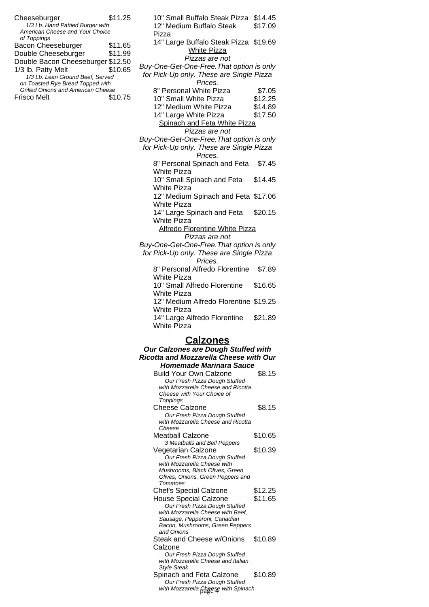| \$11.25<br>Cheeseburger<br>1/3 Lb. Hand Pattied Burger with<br>American Cheese and Your Choice | 10" Small Buffalo Steak Pizza<br>\$14.45<br>12" Medium Buffalo Steak<br>\$17.09<br>Pizza                    |
|------------------------------------------------------------------------------------------------|-------------------------------------------------------------------------------------------------------------|
| of Toppings<br>\$11.65<br>Bacon Cheeseburger<br>Double Cheeseburger<br>\$11.99                 | 14" Large Buffalo Steak Pizza \$19.69<br><b>White Pizza</b>                                                 |
| Double Bacon Cheeseburger \$12.50                                                              | Pizzas are not                                                                                              |
| 1/3 lb. Patty Melt<br>\$10.65<br>1/3 Lb. Lean Ground Beef, Served                              | Buy-One-Get-One-Free. That option is only<br>for Pick-Up only. These are Single Pizza                       |
| on Toasted Rye Bread Topped with                                                               | Prices.                                                                                                     |
| <b>Grilled Onions and American Cheese</b>                                                      | 8" Personal White Pizza<br>\$7.05                                                                           |
| <b>Frisco Melt</b><br>\$10.75                                                                  | 10" Small White Pizza<br>\$12.25                                                                            |
|                                                                                                | 12" Medium White Pizza<br>\$14.89                                                                           |
|                                                                                                |                                                                                                             |
|                                                                                                | \$17.50<br>14" Large White Pizza                                                                            |
|                                                                                                | Spinach and Feta White Pizza<br>Pizzas are not                                                              |
|                                                                                                | Buy-One-Get-One-Free. That option is only                                                                   |
|                                                                                                | for Pick-Up only. These are Single Pizza<br>Prices.                                                         |
|                                                                                                | 8" Personal Spinach and Feta<br>\$7.45<br><b>White Pizza</b>                                                |
|                                                                                                | 10" Small Spinach and Feta<br>\$14.45<br><b>White Pizza</b>                                                 |
|                                                                                                | 12" Medium Spinach and Feta \$17.06<br>White Pizza                                                          |
|                                                                                                | 14" Large Spinach and Feta<br>\$20.15<br><b>White Pizza</b>                                                 |
|                                                                                                | <b>Alfredo Florentine White Pizza</b><br>Pizzas are not                                                     |
|                                                                                                | Buy-One-Get-One-Free. That option is only<br>for Pick-Up only. These are Single Pizza<br>Prices.            |
|                                                                                                | 8" Personal Alfredo Florentine<br>\$7.89                                                                    |
|                                                                                                | <b>White Pizza</b><br>10" Small Alfredo Florentine<br>\$16.65                                               |
|                                                                                                | <b>White Pizza</b><br>12" Medium Alfredo Florentine \$19.25                                                 |
|                                                                                                | <b>White Pizza</b><br>14" Large Alfredo Florentine<br>\$21.89                                               |
|                                                                                                | <b>White Pizza</b><br><b>Calzones</b>                                                                       |
|                                                                                                | Our Calzones are Dough Stuffed with                                                                         |
|                                                                                                |                                                                                                             |
|                                                                                                | <b>Ricotta and Mozzarella Cheese with Our</b>                                                               |
|                                                                                                | <b>Homemade Marinara Sauce</b>                                                                              |
|                                                                                                | <b>Build Your Own Calzone</b><br>\$8.15                                                                     |
|                                                                                                | Our Fresh Pizza Dough Stuffed                                                                               |
|                                                                                                | with Mozzarella Cheese and Ricotta                                                                          |
|                                                                                                | Cheese with Your Choice of                                                                                  |
|                                                                                                | Toppings                                                                                                    |
|                                                                                                | \$8.15<br><b>Cheese Calzone</b>                                                                             |
|                                                                                                | Our Fresh Pizza Dough Stuffed<br>with Mozzarella Cheese and Ricotta                                         |
|                                                                                                | Cheese<br><b>Meatball Calzone</b><br>\$10.65                                                                |
|                                                                                                | 3 Meatballs and Bell Peppers                                                                                |
|                                                                                                | \$10.39<br>Vegetarian Calzone<br>Our Fresh Pizza Dough Stuffed                                              |
|                                                                                                | with Mozzarella Cheese with                                                                                 |
|                                                                                                | Mushrooms, Black Olives, Green                                                                              |
|                                                                                                | Olives, Onions, Green Peppers and                                                                           |
|                                                                                                | Tomatoes                                                                                                    |
|                                                                                                | <b>Chef's Special Calzone</b><br>\$12.25                                                                    |
|                                                                                                | \$11.65<br>House Special Calzone<br>Our Fresh Pizza Dough Stuffed                                           |
|                                                                                                | with Mozzarella Cheese with Beef,<br>Sausage, Pepperoni, Canadian<br>Bacon, Mushrooms, Green Peppers        |
|                                                                                                | and Onions<br>Steak and Cheese w/Onions<br>\$10.89                                                          |
|                                                                                                | Calzone<br>Our Fresh Pizza Dough Stuffed                                                                    |
|                                                                                                | with Mozzarella Cheese and Italian<br><b>Style Steak</b>                                                    |
|                                                                                                | \$10.89<br>Spinach and Feta Calzone<br>Our Fresh Pizza Dough Stuffed<br>with Mozzarella Gheese with Spinach |
|                                                                                                |                                                                                                             |